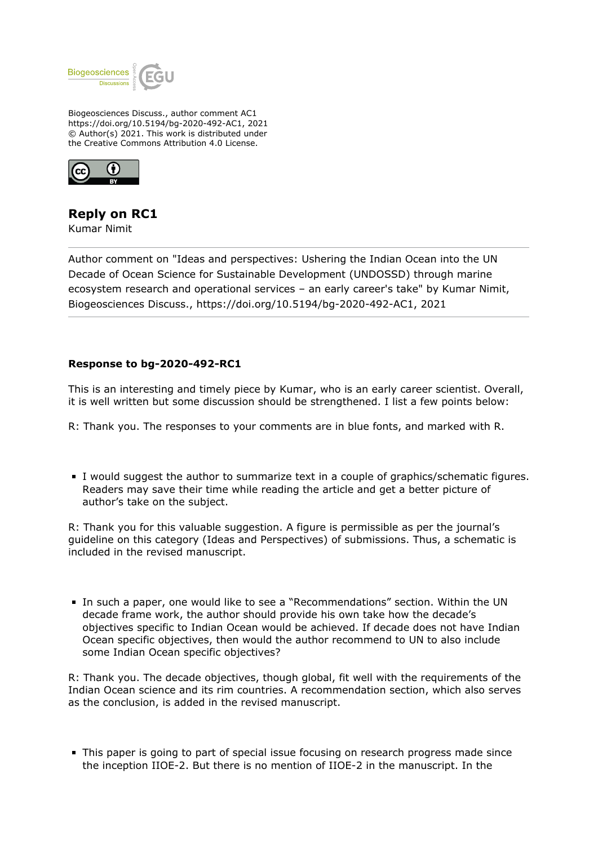

Biogeosciences Discuss., author comment AC1 https://doi.org/10.5194/bg-2020-492-AC1, 2021 © Author(s) 2021. This work is distributed under the Creative Commons Attribution 4.0 License.



## **Reply on RC1**

Kumar Nimit

Author comment on "Ideas and perspectives: Ushering the Indian Ocean into the UN Decade of Ocean Science for Sustainable Development (UNDOSSD) through marine ecosystem research and operational services – an early career's take" by Kumar Nimit, Biogeosciences Discuss., https://doi.org/10.5194/bg-2020-492-AC1, 2021

## **Response to bg-2020-492-RC1**

This is an interesting and timely piece by Kumar, who is an early career scientist. Overall, it is well written but some discussion should be strengthened. I list a few points below:

R: Thank you. The responses to your comments are in blue fonts, and marked with R.

I would suggest the author to summarize text in a couple of graphics/schematic figures. Readers may save their time while reading the article and get a better picture of author's take on the subject.

R: Thank you for this valuable suggestion. A figure is permissible as per the journal's guideline on this category (Ideas and Perspectives) of submissions. Thus, a schematic is included in the revised manuscript.

In such a paper, one would like to see a "Recommendations" section. Within the UN decade frame work, the author should provide his own take how the decade's objectives specific to Indian Ocean would be achieved. If decade does not have Indian Ocean specific objectives, then would the author recommend to UN to also include some Indian Ocean specific objectives?

R: Thank you. The decade objectives, though global, fit well with the requirements of the Indian Ocean science and its rim countries. A recommendation section, which also serves as the conclusion, is added in the revised manuscript.

This paper is going to part of special issue focusing on research progress made since the inception IIOE-2. But there is no mention of IIOE-2 in the manuscript. In the